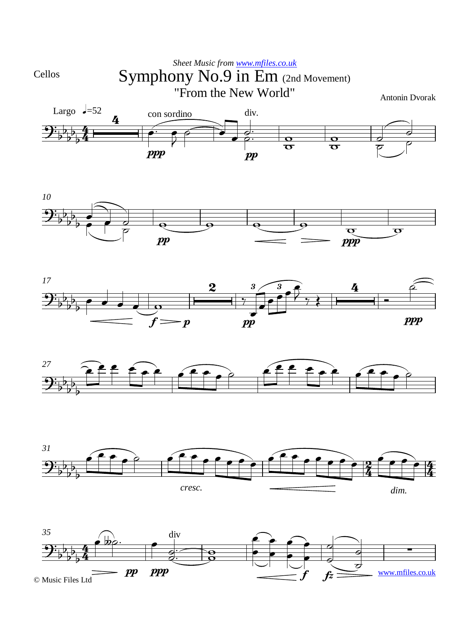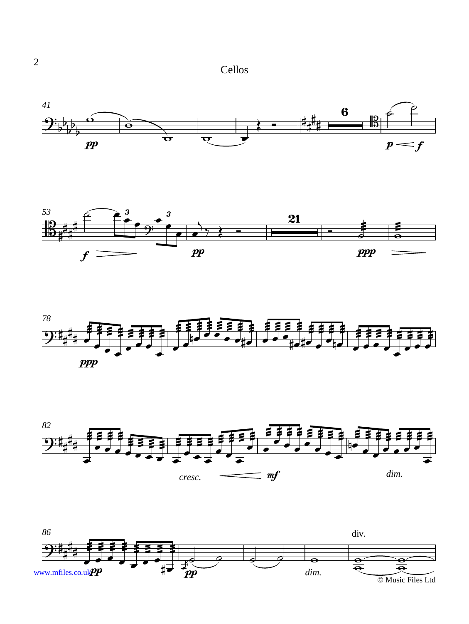